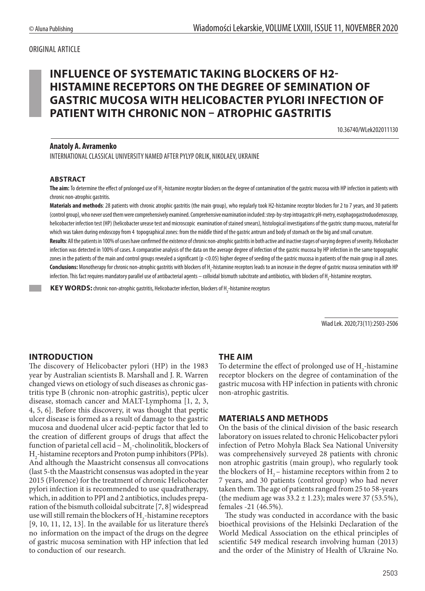# ORIGINAL ARTICLE

# **INFLUENCE OF SYSTEMATIC TAKING BLOCKERS OF H2- HISTAMINE RECEPTORS ON THE DEGREE OF SEMINATION OF GASTRIC MUCOSA WITH HELICOBACTER PYLORI INFECTION OF PATIENT WITH CHRONIC NON – ATROPHIC GASTRITIS**

10.36740/WLek202011130

### **Anatoly A. Avramenko**

INTERNATIONAL CLASSICAL UNIVERSITY NAMED AFTER PYLYP ORLIK, NIKOLAEV, UKRAINE

#### **ABSTRACT**

**The aim:** To determine the effect of prolonged use of H<sub>2</sub>-histamine receptor blockers on the degree of contamination of the gastric mucosa with HP infection in patients with chronic non-atrophic gastritis.

Materials and methods: 28 patients with chronic atrophic gastritis (the main group), who regularly took H2-histamine receptor blockers for 2 to 7 years, and 30 patients (control group), who never used them were comprehensively examined. Comprehensive examination included: step-by-step intragastric pH-metry, esophagogastroduodenoscopy, helicobacter infection test (НР) (helicobacter urease test and microscopic examination of stained smears), histological investigations of the gastric stump mucous, material for which was taken during endoscopy from 4 topographical zones: from the middle third of the gastric antrum and body of stomach on the big and small curvature.

Results: All the patients in 100% of cases have confirmed the existence of chronic non-atrophic gastritis in both active and inactive stages of varying degrees of severity. Helicobacter infection was detected in 100% of cases. A comparative analysis of the data on the average degree of infection of the gastric mucosa by HP infection in the same topographic zones in the patients of the main and control groups revealed a significant (p <0.05) higher degree of seeding of the gastric mucosa in patients of the main group in all zones. **Conclusions:** Monotherapy for chronic non-atrophic gastritis with blockers of H<sub>2</sub>-histamine receptors leads to an increase in the degree of gastric mucosa semination with HP infection. This fact requires mandatory parallel use of antibacterial agents — colloidal bismuth subcitrate and antibiotics, with blockers of H<sub>2</sub>-histamine receptors.

**KEY WORDS:** chronic non-atrophic gastritis, Helicobacter infection, blockers of H<sub>2</sub>-histamine receptors

Wiad Lek. 2020;73(11):2503-2506

# **INTRODUCTION**

The discovery of Helicobacter pylori (HP) in the 1983 year by Australian scientists B. Marshall and J. R. Warren changed views on etiology of such diseases as chronic gastritis type B (chronic non-atrophic gastritis), peptic ulcer disease, stomach cancer and MALT-Lymphoma [1, 2, 3, 4, 5, 6]. Before this discovery, it was thought that peptic ulcer disease is formed as a result of damage to the gastric mucosa and duodenal ulcer acid-peptic factor that led to the creation of different groups of drugs that affect the function of parietal cell acid –  $M_1$ -cholinolitik, blockers of H2 -histamine receptors and Proton pump inhibitors (PPIs). And although the Maastricht consensus all convocations (last 5-th the Maastricht consensus was adopted in the year 2015 (Florence) for the treatment of chronic Helicobacter pylori infection it is recommended to use quadratherapy, which, in addition to PPI and 2 antibiotics, includes preparation of the bismuth colloidal subcitrate [7, 8] widespread use will still remain the blockers of  $H_2$ -histamine receptors [9, 10, 11, 12, 13]. In the available for us literature there's no information on the impact of the drugs on the degree of gastric mucosa semination with HP infection that led to conduction of our research.

# **THE AIM**

To determine the effect of prolonged use of  $H_2$ -histamine receptor blockers on the degree of contamination of the gastric mucosa with HP infection in patients with chronic non-atrophic gastritis.

# **MATERIALS AND METHODS**

On the basis of the clinical division of the basic research laboratory on issues related to chronic Helicobacter pylori infection of Petro Mohyla Black Sea National University was comprehensively surveyed 28 patients with chronic non atrophic gastritis (main group), who regularly took the blockers of  $H<sub>2</sub>$  – histamine receptors within from 2 to 7 years, and 30 patients (control group) who had never taken them. The age of patients ranged from 25 to 58-years (the medium age was  $33.2 \pm 1.23$ ); males were 37 (53.5%), females -21 (46.5%).

The study was conducted in accordance with the basic bioethical provisions of the Helsinki Declaration of the World Medical Association on the ethical principles of scientific 549 medical research involving human (2013) and the order of the Ministry of Health of Ukraine No.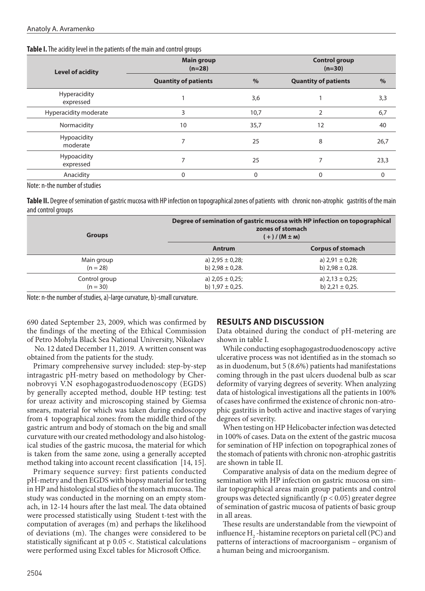#### **Table I.** The acidity level in the patients of the main and control groups

| <b>Level of acidity</b>        | <b>Main group</b><br>$(n=28)$ |          | <b>Control group</b><br>$(n=30)$ |      |
|--------------------------------|-------------------------------|----------|----------------------------------|------|
|                                | <b>Quantity of patients</b>   | $\%$     | <b>Quantity of patients</b>      | $\%$ |
| Hyperacidity<br>expressed      |                               | 3,6      |                                  | 3,3  |
| Hyperacidity moderate          | 3                             | 10,7     |                                  | 6,7  |
| Normacidity                    | 10                            | 35,7     | 12                               | 40   |
| <b>Hypoacidity</b><br>moderate | $\overline{ }$                | 25       | 8                                | 26,7 |
| Hypoacidity<br>expressed       |                               | 25       |                                  | 23,3 |
| Anacidity                      | $\Omega$                      | $\Omega$ | $\Omega$                         | 0    |

Note: n-the number of studies

**Table II.** Degree of semination of gastric mucosa with HP infection on topographical zones of patients with chronic non-atrophic gastritis of the main and control groups

| <b>Groups</b> | Degree of semination of gastric mucosa with HP infection on topographical<br>zones of stomach<br>$(+)/ (M \pm M)$ |                          |  |
|---------------|-------------------------------------------------------------------------------------------------------------------|--------------------------|--|
|               | <b>Antrum</b>                                                                                                     | <b>Corpus of stomach</b> |  |
| Main group    | a) $2,95 \pm 0,28$ ;                                                                                              | a) $2,91 \pm 0,28$ ;     |  |
| $(n = 28)$    | b) $2,98 \pm 0,28$ .                                                                                              | b) $2,98 \pm 0,28$ .     |  |
| Control group | a) $2,05 \pm 0,25$ ;                                                                                              | a) $2,13 \pm 0,25$ ;     |  |
| $(n = 30)$    | b) $1,97 \pm 0,25$ .                                                                                              | b) $2,21 \pm 0,25$ .     |  |

Note: n-the number of studies, a)-large curvature, b)-small curvature.

690 dated September 23, 2009, which was confirmed by the findings of the meeting of the Ethical Commission of Petro Mohyla Black Sea National University, Nikolaev

 No. 12 dated December 11, 2019. A written consent was obtained from the patients for the study.

Primary comprehensive survey included: step-by-step intragastric pH-metry based on methodology by Chernobrovyi V.N esophagogastroduodenoscopy (EGDS) by generally accepted method, double HP testing: test for ureaz activity and microscoping stained by Giemsa smears, material for which was taken during endoscopy from 4 topographical zones: from the middle third of the gastric antrum and body of stomach on the big and small curvature with our created methodology and also histological studies of the gastric mucosa, the material for which is taken from the same zone, using a generally accepted method taking into account recent classification [14, 15].

Primary sequence survey: first patients conducted pH-metry and then EGDS with biopsy material for testing in HP and histological studies of the stomach mucosa. The study was conducted in the morning on an empty stomach, in 12-14 hours after the last meal. The data obtained were processed statistically using Student t-test with the computation of averages (m) and perhaps the likelihood of deviations (m). The changes were considered to be statistically significant at p 0.05 <. Statistical calculations were performed using Excel tables for Microsoft Office.

# **RESULTS AND DISCUSSION**

Data obtained during the conduct of pH-metering are shown in table I.

While conducting esophagogastroduodenoscopy active ulcerative process was not identified as in the stomach so as in duodenum, but 5 (8.6%) patients had manifestations coming through in the past ulcers duodenal bulb as scar deformity of varying degrees of severity. When analyzing data of histological investigations all the patients in 100% of cases have confirmed the existence of chronic non-atrophic gastritis in both active and inactive stages of varying degrees of severity.

When testing on HP Helicobacter infection was detected in 100% of cases. Data on the extent of the gastric mucosa for semination of HP infection on topographical zones of the stomach of patients with chronic non-atrophic gastritis are shown in table II.

Comparative analysis of data on the medium degree of semination with HP infection on gastric mucosa on similar topographical areas main group patients and control groups was detected significantly ( $p < 0.05$ ) greater degree of semination of gastric mucosa of patients of basic group in all areas.

These results are understandable from the viewpoint of influence  $H_2$ -histamine receptors on parietal cell (PC) and patterns of interactions of macroorganism – organism of a human being and microorganism.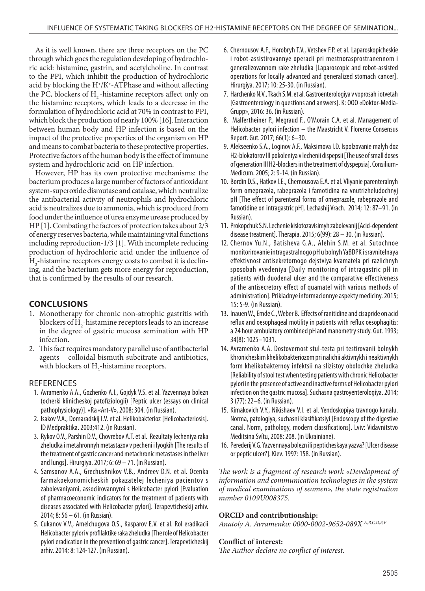As it is well known, there are three receptors on the PC through which goes the regulation developing of hydrochloric acid: histamine, gastrin, and acetylcholine. In contrast to the PPI, which inhibit the production of hydrochloric acid by blocking the H<sup>+</sup>/K<sup>+</sup>-ATPhase and without affecting the PC, blockers of  $H<sub>2</sub>$ -histamine receptors affect only on the histamine receptors, which leads to a decrease in the formulation of hydrochloric acid at 70% in contrast to PPI, which block the production of nearly 100% [16]. Interaction between human body and HP infection is based on the impact of the protective properties of the organism on HP and means to combat bacteria to these protective properties. Protective factors of the human body is the effect of immune system and hydrochloric acid on HP infection.

However, HP has its own protective mechanisms: the bacterium produces a large number of factors of antioxidant system-superoxide dismutase and catalase, which neutralize the antibacterial activity of neutrophils and hydrochloric acid is neutralizes due to ammonia, which is produced from food under the influence of urea enzyme urease produced by HP [1]. Combating the factors of protection takes about 2/3 of energy reserves bacteria, while maintaining vital functions including reproduction-1/3 [1]. With incomplete reducing production of hydrochloric acid under the influence of Н2 -histamine receptors energy costs to combat it is declining, and the bacterium gets more energy for reproduction, that is confirmed by the results of our research.

# **CONCLUSIONS**

- 1. Monotherapy for chronic non-atrophic gastritis with blockers of  $H_2$ -histamine receptors leads to an increase in the degree of gastric mucosa semination with HP infection.
- 2. This fact requires mandatory parallel use of antibacterial agents – colloidal bismuth subcitrate and antibiotics, with blockers of  $H_2$ -histamine receptors.

#### REFERENCES

- 1. Avramenko A.A., Gozhenko A.I., Gojdyk V.S. et al. Yazvennaya bolezn (ocherki klinicheskoj patofiziologii) [Peptic ulcer (essays on clinical pathophysiology)]. «Ra «Art-V», 2008; 304. (in Russian).
- 2. Isakov V.A., Domaradskij I.V. et al. Helikobakterioz [Helicobacteriosis]. ID Medpraktika. 2003;412. (in Russian).
- 3. Rykov O.V., Parshin D.V., Chovrebov A.T. et al. Rezultaty lecheniya raka zheludka i metahronnyh metastazov v pecheni i lyogkih [The results of the treatment of gastric cancer and metachronic metastases in the liver and lungs]. Hirurgiya. 2017; 6: 69 – 71. (in Russian).
- 4. Samsonov A.A., Grechushnikov V.B., Andreev D.N. et al. Ocenka farmakoekonomicheskih pokazatelej lecheniya pacientov s zabolevaniyami, associirovannymi s Helicobacter pylori [Evaluation of pharmacoeconomic indicators for the treatment of patients with diseases associated with Helicobacter pylori]. Terapevticheskij arhiv. 2014; 8: 56 – 61. (in Russian).
- 5. Cukanov V.V., Amelchugova O.S., Kasparov E.V. et al. Rol eradikacii Helicobacter pylori v profilaktike raka zheludka [The role of Helicobacter pylori eradication in the prevention of gastric cancer]. Terapevticheskij arhiv. 2014; 8: 124-127. (in Russian).
- 6. Chernousov A.F., Horobryh T.V., Vetshev F.P. et al. Laparoskopicheskie i robot-assistirovannye operacii pri mestnorasprostranennom i generalizovannom rake zheludka [Laparoscopic and robot-assisted operations for locally advanced and generalized stomach cancer]. Hirurgiya. 2017; 10: 25-30. (in Russian).
- 7. Harchenko N.V., Tkach S.M. et al. Gastroenterologiya v voprosah i otvetah [Gastroenterology in questions and answers]. K: OOO «Doktor-Media-Grupp», 2016: 36. (in Russian).
- 8. Malfertheiner P., Megraud F., O'Morain C.A. et al. Management of Helicobacter pylori infection – the Maastricht V. Florence Consensus Report. Gut. 2017; 66(1): 6–30.
- 9. Alekseenko S.A., Loginov A.F., Maksimova I.D. Ispolzovanie malyh doz H2-blokatorov III pokoleniya v lechenii dispepsii [The use of small doses of generation III H2-blockers in the treatment of dyspepsia]. Consilium-Medicum. 2005; 2: 9-14. (in Russian).
- 10. Bordin D.S., Hatkov I.E., Chernousova E.A. et al. Vliyanie parenteralnyh form omeprazola, rabeprazola i famotidina na vnutrizheludochnyj pH [The effect of parenteral forms of omeprazole, rabeprazole and famotidine on intragastric pH]. Lechashij Vrach. 2014; 12: 87–91. (in Russian).
- 11. Prokopchuk S.N. Lechenie kislotozavisimyh zabolevanij [Acid-dependent disease treatment]. Therapia. 2015; 6(99): 28 – 30. (in Russian).
- 12. Chernov Yu.N., Batisheva G.A., Alehin S.M. et al. Sutochnoe monitorirovanie intragastralnogo pH u bolnyh YaBDPK i sravnitelnaya effektivnost antisekretornogo dejstviya kvamatela pri razlichnyh sposobah vvedeniya [Daily monitoring of intragastric pH in patients with duodenal ulcer and the comparative effectiveness of the antisecretory effect of quamatel with various methods of administration]. Prikladnye informacionnye aspekty mediciny. 2015; 15: 5-9. (in Russian).
- 13. Inauen W., Emde C., Weber B. Effects of ranitidine and cisapride on acid reflux and oesophageal motility in patients with reflux oesophagitis: a 24 hour ambulatory combined pH and manometry study. Gut. 1993; 34(8): 1025–1031.
- 14. Avramenko A.A. Dostovernost stul-testa pri testirovanii bolnykh khronicheskim khelikobakteriozom pri nalichii aktivnykh i neaktivnykh form khelikobakternoy infektsii na slizistoy obolochke zheludka [Reliability of stool test when testing patients with chronic Helicobacter pylori in the presence of active and inactive forms of Helicobacter pylori infection on the gastric mucosa]. Suchasna gastroyenterologíya. 2014; 3 (77): 22–6. (in Russian).
- 15. Kímakovich V.Y., Nikishaev V.I. et al. Yendoskopiya travnogo kanalu. Norma, patologiya, suchasni klasifikatsiyi [Endoscopy of the digestive canal. Norm, pathology, modern classifications]. Lviv: Vidavnitstvo Meditsina Svítu, 2008: 208. (in Ukrainiane).
- 16. Perederij V.G. Yazvennaya bolezn ili pepticheskaya yazva? [Ulcer disease or peptic ulcer?]. Kiev. 1997: 158. (in Russian).

*The work is a fragment of research work «Development of information and communication technologies in the system of medical examinations of seamen», the state registration number 0109U008375.* 

#### **ORCID and contributionship:**

*Anatoly A. Avramenko: 0000-0002-9652-089X A,B,C,D,E,F*

# **Conflict of interest:**

*The Author declare no conflict of interest.*